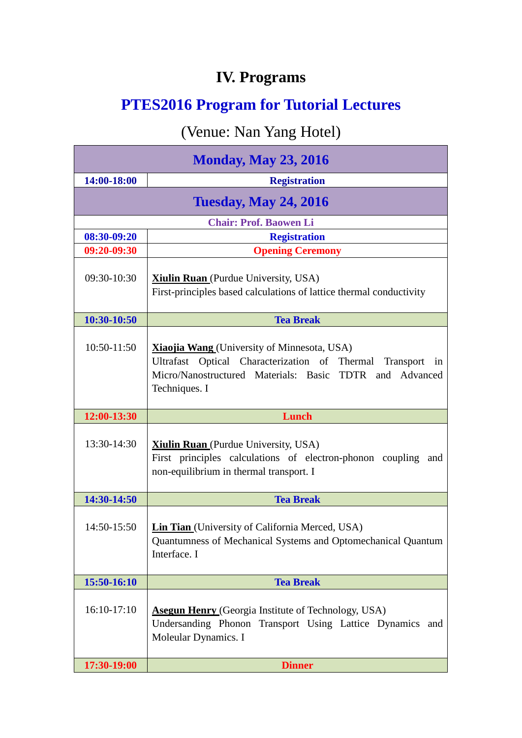## **IV. Programs**

## **PTES2016 Program for Tutorial Lectures**

## (Venue: Nan Yang Hotel)

| <b>Monday, May 23, 2016</b>   |                                                                                                                                                                                          |
|-------------------------------|------------------------------------------------------------------------------------------------------------------------------------------------------------------------------------------|
| 14:00-18:00                   | <b>Registration</b>                                                                                                                                                                      |
| <b>Tuesday, May 24, 2016</b>  |                                                                                                                                                                                          |
| <b>Chair: Prof. Baowen Li</b> |                                                                                                                                                                                          |
| 08:30-09:20                   | <b>Registration</b>                                                                                                                                                                      |
| 09:20-09:30                   | <b>Opening Ceremony</b>                                                                                                                                                                  |
| 09:30-10:30                   | <b>Xiulin Ruan</b> (Purdue University, USA)<br>First-principles based calculations of lattice thermal conductivity                                                                       |
| 10:30-10:50                   | <b>Tea Break</b>                                                                                                                                                                         |
| $10:50-11:50$                 | Xiaojia Wang (University of Minnesota, USA)<br>Ultrafast Optical Characterization of Thermal<br>Transport in<br>Micro/Nanostructured Materials: Basic TDTR and Advanced<br>Techniques. I |
| 12:00-13:30                   | <b>Lunch</b>                                                                                                                                                                             |
| 13:30-14:30                   | <b>Xiulin Ruan</b> (Purdue University, USA)<br>First principles calculations of electron-phonon coupling<br>and<br>non-equilibrium in thermal transport. I                               |
|                               |                                                                                                                                                                                          |
| 14:30-14:50                   | <b>Tea Break</b>                                                                                                                                                                         |
| 14:50-15:50                   | <b>Lin Tian</b> (University of California Merced, USA)<br>Quantumness of Mechanical Systems and Optomechanical Quantum<br>Interface. I                                                   |
| 15:50-16:10                   | <b>Tea Break</b>                                                                                                                                                                         |
| 16:10-17:10                   | <b>Asegun Henry (Georgia Institute of Technology, USA)</b><br>Undersanding Phonon Transport Using Lattice Dynamics<br>and<br>Moleular Dynamics. I                                        |